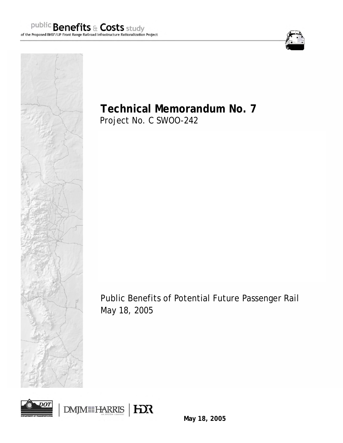



**Technical Memorandum No. 7** 

Project No. C SWOO-242

Public Benefits of Potential Future Passenger Rail May 18, 2005



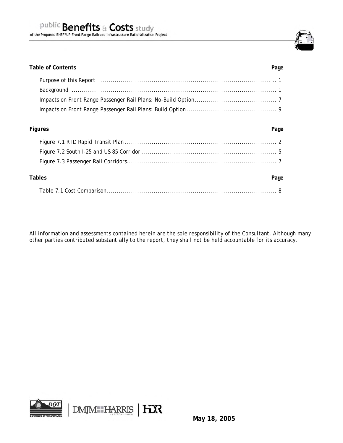

# Table of Contents **Page**

# **Figures Page**

| Tables<br>Page |
|----------------|
|                |

*All information and assessments contained herein are the sole responsibility of the Consultant. Although many other parties contributed substantially to the report, they shall not be held accountable for its accuracy.*

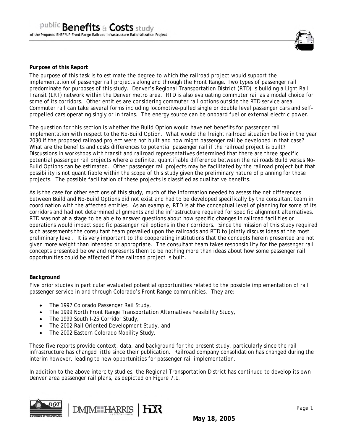

# **Purpose of this Report**

The purpose of this task is to estimate the degree to which the railroad project would support the implementation of passenger rail projects along and through the Front Range. Two types of passenger rail predominate for purposes of this study. Denver's Regional Transportation District (RTD) is building a Light Rail Transit (LRT) network within the Denver metro area. RTD is also evaluating commuter rail as a modal choice for some of its corridors. Other entities are considering commuter rail options outside the RTD service area. Commuter rail can take several forms including locomotive-pulled single or double level passenger cars and selfpropelled cars operating singly or in trains. The energy source can be onboard fuel or external electric power.

The question for this section is whether the Build Option would have net benefits for passenger rail implementation with respect to the No-Build Option. What would the freight railroad situation be like in the year 2030 if the proposed railroad project were not built and how might passenger rail be developed in that case? What are the benefits and costs differences to potential passenger rail if the railroad project is built? Discussions in workshops with transit and railroad representatives determined that there are three specific potential passenger rail projects where a definite, quantifiable difference between the railroads Build versus No-Build Options can be estimated. Other passenger rail projects may be facilitated by the railroad project but that possibility is not quantifiable within the scope of this study given the preliminary nature of planning for those projects. The possible facilitation of these projects is classified as qualitative benefits.

As is the case for other sections of this study, much of the information needed to assess the net differences between Build and No-Build Options did not exist and had to be developed specifically by the consultant team in coordination with the affected entities. As an example, RTD is at the conceptual level of planning for some of its corridors and had not determined alignments and the infrastructure required for specific alignment alternatives. RTD was not at a stage to be able to answer questions about how specific changes in railroad facilities or operations would impact specific passenger rail options in their corridors. Since the mission of this study required such assessments the consultant team prevailed upon the railroads and RTD to jointly discuss ideas at the most preliminary level. It is very important to the cooperating institutions that the concepts herein presented are not given more weight than intended or appropriate. The consultant team takes responsibility for the passenger rail concepts presented below and represents them to be nothing more than ideas about how some passenger rail opportunities could be affected if the railroad project is built.

#### **Background**

Five prior studies in particular evaluated potential opportunities related to the possible implementation of rail passenger service in and through Colorado's Front Range communities. They are:

- The 1997 Colorado Passenger Rail Study,
- The 1999 North Front Range Transportation Alternatives Feasibility Study,
- The 1999 South I-25 Corridor Study,
- The 2002 Rail Oriented Development Study, and
- The 2002 Eastern Colorado Mobility Study.

These five reports provide context, data, and background for the present study, particularly since the rail infrastructure has changed little since their publication. Railroad company consolidation has changed during the interim however, leading to new opportunities for passenger rail implementation.

In addition to the above intercity studies, the Regional Transportation District has continued to develop its own Denver area passenger rail plans, as depicted on Figure 7.1.



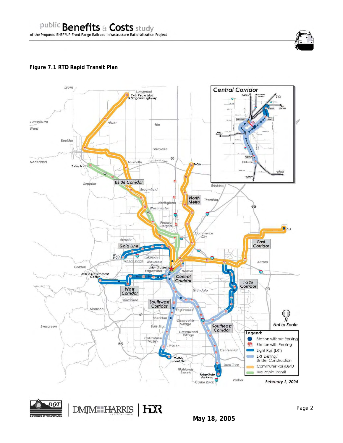# **Figure 7.1 RTD Rapid Transit Plan**





DMJM HARRIS | HOR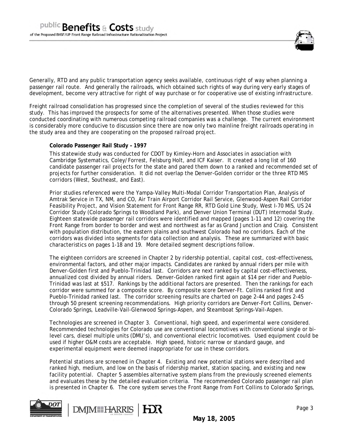

Generally, RTD and any public transportation agency seeks available, continuous right of way when planning a passenger rail route. And generally the railroads, which obtained such rights of way during very early stages of development, become very attractive for right of way purchase or for cooperative use of existing infrastructure.

Freight railroad consolidation has progressed since the completion of several of the studies reviewed for this study. This has improved the prospects for some of the alternatives presented. When those studies were conducted coordinating with numerous competing railroad companies was a challenge. The current environment is considerably more conducive to discussion since there are now only two mainline freight railroads operating in the study area and they are cooperating on the proposed railroad project.

#### **Colorado Passenger Rail Study – 1997**

This statewide study was conducted for CDOT by Kimley-Horn and Associates in association with Cambridge Systematics, Coley/Forrest, Felsburg Holt, and ICF Kaiser. It created a long list of 160 candidate passenger rail projects for the state and pared them down to a ranked and recommended set of projects for further consideration. It did not overlap the Denver-Golden corridor or the three RTD MIS corridors (West, Southeast, and East).

Prior studies referenced were the Yampa-Valley Multi-Modal Corridor Transportation Plan, Analysis of Amtrak Service in TX, NM, and CO, Air Train Airport Corridor Rail Service, Glenwood-Aspen Rail Corridor Feasibility Project, and Vision Statement for Front Range RR, RTD Gold Line Study, West I-70 MIS, US 24 Corridor Study (Colorado Springs to Woodland Park), and Denver Union Terminal (DUT) Intermodal Study. Eighteen statewide passenger rail corridors were identified and mapped (pages 1-11 and 12) covering the Front Range from border to border and west and northwest as far as Grand Junction and Craig. Consistent with population distribution, the eastern plains and southwest Colorado had no corridors. Each of the corridors was divided into segments for data collection and analysis. These are summarized with basic characteristics on pages 1-18 and 19. More detailed segment descriptions follow.

The eighteen corridors are screened in Chapter 2 by ridership potential, capital cost, cost-effectiveness, environmental factors, and other major impacts. Candidates are ranked by annual riders per mile with Denver-Golden first and Pueblo-Trinidad last. Corridors are next ranked by capital cost-effectiveness, annualized cost divided by annual riders. Denver-Golden ranked first again at \$14 per rider and Pueblo-Trinidad was last at \$517. Rankings by the additional factors are presented. Then the rankings for each corridor were summed for a composite score. By composite score Denver-Ft. Collins ranked first and Pueblo-Trinidad ranked last. The corridor screening results are charted on page 2-44 and pages 2-45 through 50 present screening recommendations. High priority corridors are Denver-Fort Collins, Denver-Colorado Springs, Leadville-Vail-Glenwood Springs-Aspen, and Steamboat Springs-Vail-Aspen.

Technologies are screened in Chapter 3. Conventional, high speed, and experimental were considered. Recommended technologies for Colorado use are conventional locomotives with conventional single or bilevel cars, diesel multiple units (DMU's), and conventional electric locomotives. Used equipment could be used if higher O&M costs are acceptable. High speed, historic narrow or standard gauge, and experimental equipment were deemed inappropriate for use in these corridors.

Potential stations are screened in Chapter 4. Existing and new potential stations were described and ranked high, medium, and low on the basis of ridership market, station spacing, and existing and new facility potential. Chapter 5 assembles alternative system plans from the previously screened elements and evaluates these by the detailed evaluation criteria. The recommended Colorado passenger rail plan is presented in Chapter 6. The core system serves the Front Range from Fort Collins to Colorado Springs,



**DMM HARRIS** HX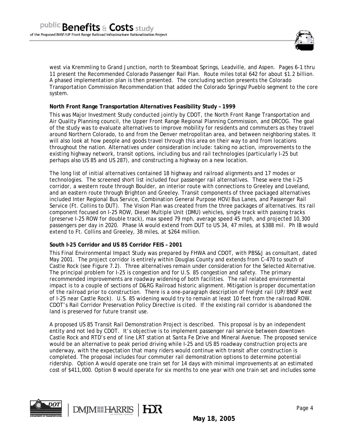

west via Kremmling to Grand Junction, north to Steamboat Springs, Leadville, and Aspen. Pages 6-1 thru 11 present the Recommended Colorado Passenger Rail Plan. Route miles total 642 for about \$1.2 billion. A phased implementation plan is then presented. The concluding section presents the Colorado Transportation Commission Recommendation that added the Colorado Springs/Pueblo segment to the core system.

### **North Front Range Transportation Alternatives Feasibility Study – 1999**

This was Major Investment Study conducted jointly by CDOT, the North Front Range Transportation and Air Quality Planning council, the Upper Front Range Regional Planning Commission, and DRCOG. The goal of the study was to evaluate alternatives to improve mobility for residents and commuters as they travel around Northern Colorado, to and from the Denver metropolitan area, and between neighboring states. It will also look at how people and goods travel through this area on their way to and from locations throughout the nation. Alternatives under consideration include: taking no action, improvements to the existing highway network, transit options, including bus and rail technologies (particularly I-25 but perhaps also US 85 and US 287), and constructing a highway on a new location.

The long list of initial alternatives contained 18 highway and railroad alignments and 17 modes or technologies. The screened short list included four passenger rail alternatives. These were the I-25 corridor, a western route through Boulder, an interior route with connections to Greeley and Loveland, and an eastern route through Brighton and Greeley. Transit components of three packaged alternatives included Inter Regional Bus Service, Combination General Purpose HOV/Bus Lanes, and Passenger Rail Service (Ft. Collins to DUT). The Vision Plan was created from the three packages of alternatives. Its rail component focused on I-25 ROW, Diesel Multiple Unit (DMU) vehicles, single track with passing tracks (preserve I-25 ROW for double track), max speed 79 mph, average speed 45 mph, and projected 10,300 passengers per day in 2020. Phase IA would extend from DUT to US 34, 47 miles, at \$388 mil. Ph IB would extend to Ft. Collins and Greeley, 38 miles, at \$264 million.

#### **South I-25 Corridor and US 85 Corridor FEIS – 2001**

**DMM HARRIS** 

This Final Environmental Impact Study was prepared by FHWA and CDOT, with PBS&J as consultant, dated May 2001. The project corridor is entirely within Douglas County and extends from C-470 to south of Castle Rock (see Figure 7.2). Three alternatives remain under consideration for the Selected Alternative. The principal problem for I-25 is congestion and for U.S. 85 congestion and safety. The primary recommended improvements are roadway widening of both facilities. The rail related environmental impact is to a couple of sections of D&RG Railroad historic alignment. Mitigation is proper documentation of the railroad prior to construction. There is a one-paragraph description of freight rail (UP/BNSF west of I-25 near Castle Rock). U.S. 85 widening would try to remain at least 10 feet from the railroad ROW. CDOT's Rail Corridor Preservation Policy Directive is cited. If the existing rail corridor is abandoned the land is preserved for future transit use.

A proposed US 85 Transit Rail Demonstration Project is described. This proposal is by an independent entity and not led by CDOT. It's objective is to implement passenger rail service between downtown Castle Rock and RTD's end of line LRT station at Santa Fe Drive and Mineral Avenue. The proposed service would be an alternative to peak period driving while I-25 and US 85 roadway construction projects are underway, with the expectation that many riders would continue with transit after construction is completed. The proposal includes four commuter rail demonstration options to determine potential ridership. Option A would operate one train set for 14 days with minimal improvements at an estimated cost of \$411,000. Option B would operate for six months to one year with one train set and includes some

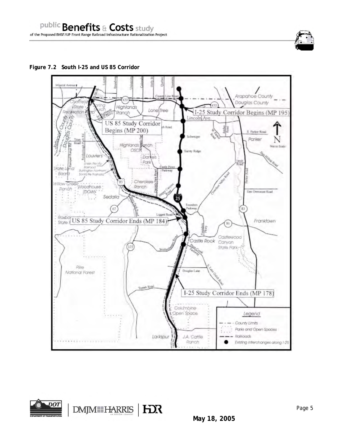**Figure 7.2 South I-25 and US 85 Corridor** 



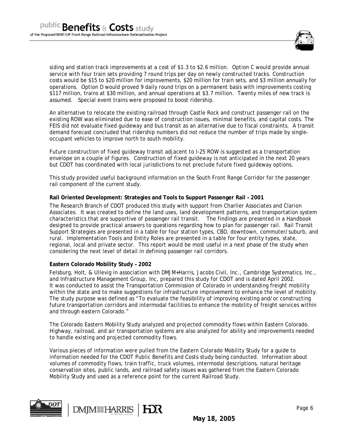

siding and station track improvements at a cost of \$1.3 to \$2.6 million. Option C would provide annual service with four train sets providing 7 round trips per day on newly constructed tracks. Construction costs would be \$15 to \$20 million for improvements, \$20 million for train sets, and \$3 million annually for operations. Option D would proved 9 daily round trips on a permanent basis with improvements costing \$117 million, trains at \$30 million, and annual operations at \$3.7 million. Twenty miles of new track is assumed. Special event trains were proposed to boost ridership.

An alternative to relocate the existing railroad through Castle Rock and construct passenger rail on the existing ROW was eliminated due to ease of construction issues, minimal benefits, and capital costs. The FEIS did not evaluate fixed guideway and bus transit as an alternative due to fiscal constraints. A transit demand forecast concluded that ridership numbers did not reduce the number of trips made by singleoccupant vehicles to improve north to south mobility.

Future construction of fixed guideway transit adjacent to I-25 ROW is suggested as a transportation envelope on a couple of figures. Construction of fixed guideway is not anticipated in the next 20 years but CDOT has coordinated with local jurisdictions to not preclude future fixed guideway options.

This study provided useful background information on the South Front Range Corridor for the passenger rail component of the current study.

#### **Rail Oriented Development: Strategies and Tools to Support Passenger Rail – 2001**

The Research Branch of CDOT produced this study with support from Charlier Associates and Clarion Associates. It was created to define the land uses, land development patterns, and transportation system characteristics that are supportive of passenger rail transit. The findings are presented in a Handbook designed to provide practical answers to questions regarding how to plan for passenger rail. Rail Transit Support Strategies are presented in a table for four station types, CBD, downtown, commuter/suburb, and rural. Implementation Tools and Entity Roles are presented in a table for four entity types, state, regional, local and private sector. This report would be most useful in a next phase of the study when considering the next level of detail in defining passenger rail corridors.

#### **Eastern Colorado Mobility Study – 2002**

Felsburg, Holt, & Ullevig in association with DMJM+Harris, Jacobs Civil, Inc., Cambridge Systematics, Inc., and Infrastructure Management Group, Inc, prepared this study for CDOT and is dated April 2002. It was conducted to assist the Transportation Commission of Colorado in understanding freight mobility within the state and to make suggestions for infrastructure improvement to enhance the level of mobility. The study purpose was defined as "To evaluate the feasibility of improving existing and/or constructing future transportation corridors and intermodal facilities to enhance the mobility of freight services within and through eastern Colorado."

The Colorado Eastern Mobility Study analyzed and projected commodity flows within Eastern Colorado. Highway, railroad, and air transportation systems are also analyzed for ability and improvements needed to handle existing and projected commodity flows.

Various pieces of information were pulled from the Eastern Colorado Mobility Study for a guide to information needed for the CDOT Public Benefits and Costs study being conducted. Information about volumes of commodity flows, train traffic, truck volumes, intermodal descriptions, natural heritage conservation sites, public lands, and railroad safety issues was gathered from the Eastern Colorado Mobility Study and used as a reference point for the current Railroad Study.



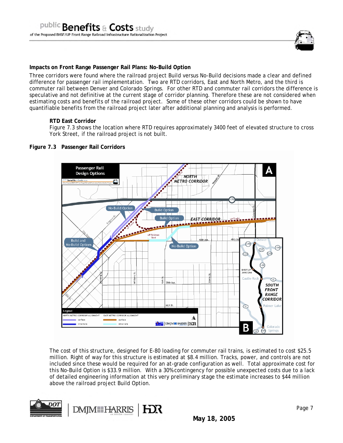

### **Impacts on Front Range Passenger Rail Plans: No-Build Option**

Three corridors were found where the railroad project Build versus No-Build decisions made a clear and defined difference for passenger rail implementation. Two are RTD corridors, East and North Metro, and the third is commuter rail between Denver and Colorado Springs. For other RTD and commuter rail corridors the difference is speculative and not definitive at the current stage of corridor planning. Therefore these are not considered when estimating costs and benefits of the railroad project. Some of these other corridors could be shown to have quantifiable benefits from the railroad project later after additional planning and analysis is performed.

#### **RTD East Corridor**

Figure 7.3 shows the location where RTD requires approximately 3400 feet of elevated structure to cross York Street, if the railroad project is not built.

#### **Figure 7.3 Passenger Rail Corridors**



The cost of this structure, designed for E-80 loading for commuter rail trains, is estimated to cost \$25.5 million. Right of way for this structure is estimated at \$8.4 million. Tracks, power, and controls are not included since these would be required for an at-grade configuration as well. Total approximate cost for this No-Build Option is \$33.9 million. With a 30% contingency for possible unexpected costs due to a lack of detailed engineering information at this very preliminary stage the estimate increases to \$44 million above the railroad project Build Option.

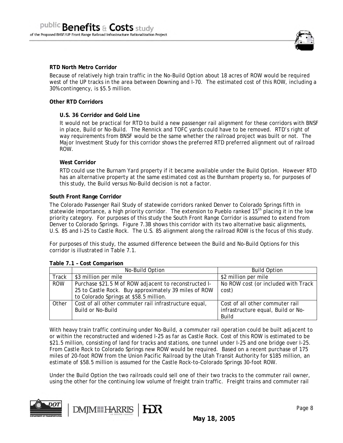

#### **RTD North Metro Corridor**

Because of relatively high train traffic in the No-Build Option about 18 acres of ROW would be required west of the UP tracks in the area between Downing and I-70. The estimated cost of this ROW, including a 30% contingency, is \$5.5 million.

#### **Other RTD Corridors**

#### **U.S. 36 Corridor and Gold Line**

It would not be practical for RTD to build a new passenger rail alignment for these corridors with BNSF in place, Build or No-Build. The Rennick and TOFC yards could have to be removed. RTD's right of way requirements from BNSF would be the same whether the railroad project was built or not. The Major Investment Study for this corridor shows the preferred RTD preferred alignment out of railroad ROW.

#### **West Corridor**

RTD could use the Burnam Yard property if it became available under the Build Option. However RTD has an alternative property at the same estimated cost as the Burnham property so, for purposes of this study, the Build versus No-Build decision is not a factor.

#### **South Front Range Corridor**

The Colorado Passenger Rail Study of statewide corridors ranked Denver to Colorado Springs fifth in statewide importance, a high priority corridor. The extension to Pueblo ranked 15<sup>th</sup> placing it in the low priority category. For purposes of this study the South Front Range Corridor is assumed to extend from Denver to Colorado Springs. Figure 7.3B shows this corridor with its two alternative basic alignments, U.S. 85 and I-25 to Castle Rock. The U.S. 85 alignment along the railroad ROW is the focus of this study.

For purposes of this study, the assumed difference between the Build and No-Build Options for this corridor is illustrated in Table 7.1.

|              | No-Build Option                                       | <b>Build Option</b>                 |
|--------------|-------------------------------------------------------|-------------------------------------|
| <b>Track</b> | \$3 million per mile                                  | \$2 million per mile                |
| <b>ROW</b>   | Purchase \$21.5 M of ROW adjacent to reconstructed I- | No ROW cost (or included with Track |
|              | 25 to Castle Rock. Buy approximately 39 miles of ROW  | cost)                               |
|              | to Colorado Springs at \$58.5 million.                |                                     |
| Other        | Cost of all other commuter rail infrastructure equal, | Cost of all other commuter rail     |
|              | Build or No-Build                                     | infrastructure equal, Build or No-  |
|              |                                                       | Build                               |

#### **Table 7.1 – Cost Comparison**

With heavy train traffic continuing under No-Build, a commuter rail operation could be built adjacent to or within the reconstructed and widened I-25 as far as Castle Rock. Cost of this ROW is estimated to be \$21.5 million, consisting of land for tracks and stations, one tunnel under I-25 and one bridge over I-25. From Castle Rock to Colorado Springs new ROW would be required. Based on a recent purchase of 175 miles of 20-foot ROW from the Union Pacific Railroad by the Utah Transit Authority for \$185 million, an estimate of \$58.5 million is assumed for the Castle Rock-to-Colorado Springs 30-foot ROW.

Under the Build Option the two railroads could sell one of their two tracks to the commuter rail owner, using the other for the continuing low volume of freight train traffic. Freight trains and commuter rail